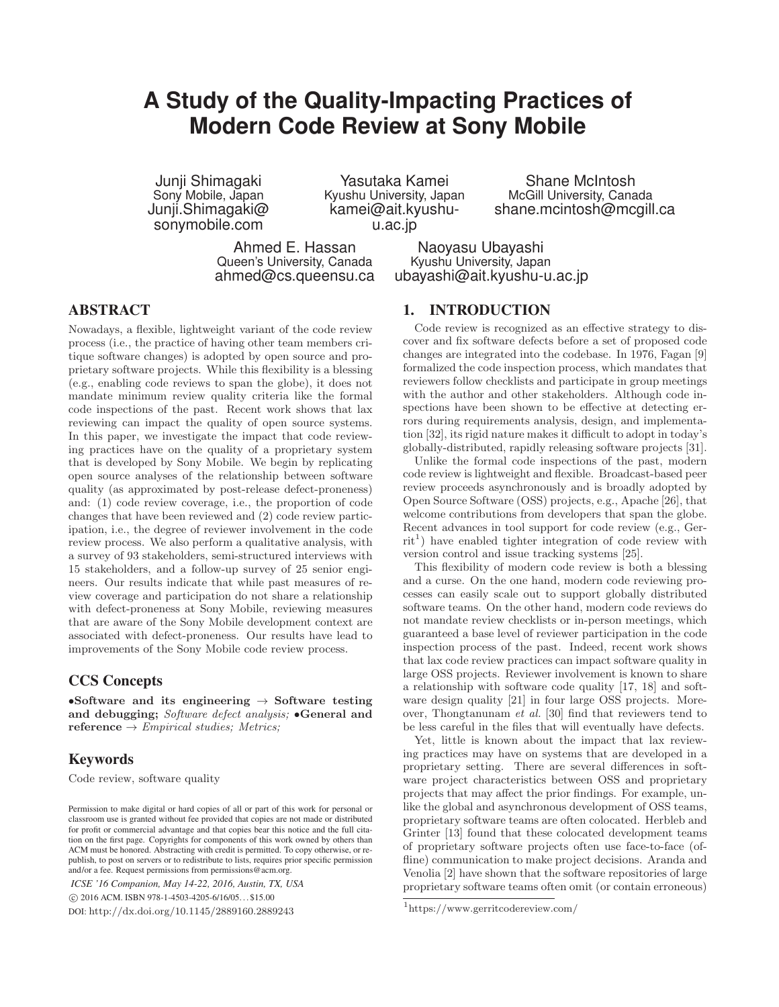# **A Study of the Quality-Impacting Practices of Modern Code Review at Sony Mobile**

Junji Shimagaki Sony Mobile, Japan Junji.Shimagaki@ sonymobile.com

Yasutaka Kamei Kyushu University, Japan kamei@ait.kyushuu.ac.jp

Shane McIntosh McGill University, Canada shane.mcintosh@mcgill.ca

Ahmed E. Hassan Queen's University, Canada ahmed@cs.queensu.ca

Naoyasu Ubayashi Kyushu University, Japan ubayashi@ait.kyushu-u.ac.jp

# ABSTRACT

Nowadays, a flexible, lightweight variant of the code review process (i.e., the practice of having other team members critique software changes) is adopted by open source and proprietary software projects. While this flexibility is a blessing (e.g., enabling code reviews to span the globe), it does not mandate minimum review quality criteria like the formal code inspections of the past. Recent work shows that lax reviewing can impact the quality of open source systems. In this paper, we investigate the impact that code reviewing practices have on the quality of a proprietary system that is developed by Sony Mobile. We begin by replicating open source analyses of the relationship between software quality (as approximated by post-release defect-proneness) and: (1) code review coverage, i.e., the proportion of code changes that have been reviewed and (2) code review participation, i.e., the degree of reviewer involvement in the code review process. We also perform a qualitative analysis, with a survey of 93 stakeholders, semi-structured interviews with 15 stakeholders, and a follow-up survey of 25 senior engineers. Our results indicate that while past measures of review coverage and participation do not share a relationship with defect-proneness at Sony Mobile, reviewing measures that are aware of the Sony Mobile development context are associated with defect-proneness. Our results have lead to improvements of the Sony Mobile code review process.

## CCS Concepts

•Software and its engineering  $\rightarrow$  Software testing and debugging; Software defect analysis;  $\bullet$ General and  $reference \rightarrow Empirical studies; Metrics;$ 

## Keywords

Code review, software quality

*ICSE '16 Companion, May 14-22, 2016, Austin, TX, USA*

c 2016 ACM. ISBN 978-1-4503-4205-6/16/05. . . \$15.00

DOI: http://dx.doi.org/10.1145/2889160.2889243

# 1. INTRODUCTION

Code review is recognized as an effective strategy to discover and fix software defects before a set of proposed code changes are integrated into the codebase. In 1976, Fagan [9] formalized the code inspection process, which mandates that reviewers follow checklists and participate in group meetings with the author and other stakeholders. Although code inspections have been shown to be effective at detecting errors during requirements analysis, design, and implementation [32], its rigid nature makes it difficult to adopt in today's globally-distributed, rapidly releasing software projects [31].

Unlike the formal code inspections of the past, modern code review is lightweight and flexible. Broadcast-based peer review proceeds asynchronously and is broadly adopted by Open Source Software (OSS) projects, e.g., Apache [26], that welcome contributions from developers that span the globe. Recent advances in tool support for code review (e.g., Ger- $\text{crit}^1$ ) have enabled tighter integration of code review with version control and issue tracking systems [25].

This flexibility of modern code review is both a blessing and a curse. On the one hand, modern code reviewing processes can easily scale out to support globally distributed software teams. On the other hand, modern code reviews do not mandate review checklists or in-person meetings, which guaranteed a base level of reviewer participation in the code inspection process of the past. Indeed, recent work shows that lax code review practices can impact software quality in large OSS projects. Reviewer involvement is known to share a relationship with software code quality [17, 18] and software design quality [21] in four large OSS projects. Moreover, Thongtanunam et al. [30] find that reviewers tend to be less careful in the files that will eventually have defects.

Yet, little is known about the impact that lax reviewing practices may have on systems that are developed in a proprietary setting. There are several differences in software project characteristics between OSS and proprietary projects that may affect the prior findings. For example, unlike the global and asynchronous development of OSS teams, proprietary software teams are often colocated. Herbleb and Grinter [13] found that these colocated development teams of proprietary software projects often use face-to-face (offline) communication to make project decisions. Aranda and Venolia [2] have shown that the software repositories of large proprietary software teams often omit (or contain erroneous)

Permission to make digital or hard copies of all or part of this work for personal or classroom use is granted without fee provided that copies are not made or distributed for profit or commercial advantage and that copies bear this notice and the full citation on the first page. Copyrights for components of this work owned by others than ACM must be honored. Abstracting with credit is permitted. To copy otherwise, or republish, to post on servers or to redistribute to lists, requires prior specific permission and/or a fee. Request permissions from permissions@acm.org.

<sup>1</sup> https://www.gerritcodereview.com/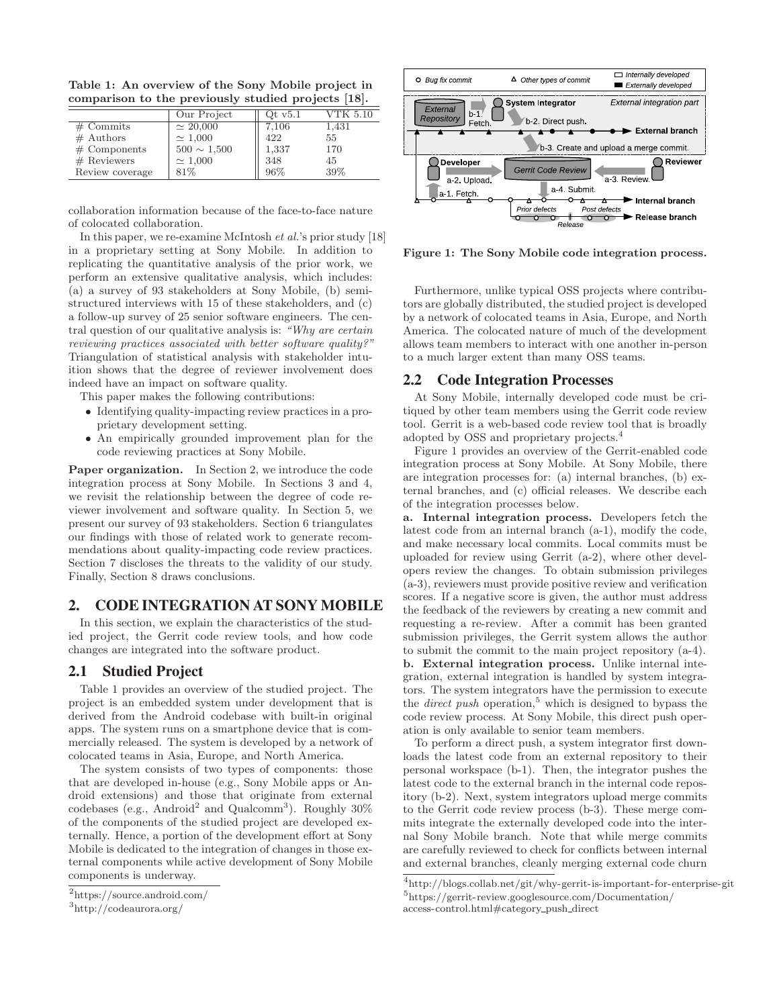Table 1: An overview of the Sony Mobile project in comparison to the previously studied projects [18].

|                 | Our Project      | $Qt$ v5.1 | <b>VTK 5.10</b> |
|-----------------|------------------|-----------|-----------------|
| $\#$ Commits    | $\simeq 20,000$  | 7,106     | 1,431           |
| $#$ Authors     | $\simeq 1,000$   | 422       | 55              |
| $#$ Components  | $500 \sim 1,500$ | 1,337     | 170             |
| $#$ Reviewers   | $\simeq 1,000$   | 348       | 45              |
| Review coverage | 81\%             | 96%       | 39%             |

collaboration information because of the face-to-face nature of colocated collaboration.

In this paper, we re-examine McIntosh et al.'s prior study [18] in a proprietary setting at Sony Mobile. In addition to replicating the quantitative analysis of the prior work, we perform an extensive qualitative analysis, which includes: (a) a survey of 93 stakeholders at Sony Mobile, (b) semistructured interviews with 15 of these stakeholders, and (c) a follow-up survey of 25 senior software engineers. The central question of our qualitative analysis is: "Why are certain reviewing practices associated with better software quality?" Triangulation of statistical analysis with stakeholder intuition shows that the degree of reviewer involvement does indeed have an impact on software quality.

This paper makes the following contributions:

- Identifying quality-impacting review practices in a proprietary development setting.
- An empirically grounded improvement plan for the code reviewing practices at Sony Mobile.

Paper organization. In Section 2, we introduce the code integration process at Sony Mobile. In Sections 3 and 4, we revisit the relationship between the degree of code reviewer involvement and software quality. In Section 5, we present our survey of 93 stakeholders. Section 6 triangulates our findings with those of related work to generate recommendations about quality-impacting code review practices. Section 7 discloses the threats to the validity of our study. Finally, Section 8 draws conclusions.

#### 2. CODE INTEGRATION AT SONY MOBILE

In this section, we explain the characteristics of the studied project, the Gerrit code review tools, and how code changes are integrated into the software product.

#### 2.1 Studied Project

Table 1 provides an overview of the studied project. The project is an embedded system under development that is derived from the Android codebase with built-in original apps. The system runs on a smartphone device that is commercially released. The system is developed by a network of colocated teams in Asia, Europe, and North America.

The system consists of two types of components: those that are developed in-house (e.g., Sony Mobile apps or Android extensions) and those that originate from external  $codebases$  (e.g., Android<sup>2</sup> and Qualcomm<sup>3</sup>). Roughly  $30\%$ of the components of the studied project are developed externally. Hence, a portion of the development effort at Sony Mobile is dedicated to the integration of changes in those external components while active development of Sony Mobile components is underway.



Figure 1: The Sony Mobile code integration process.

Furthermore, unlike typical OSS projects where contributors are globally distributed, the studied project is developed by a network of colocated teams in Asia, Europe, and North America. The colocated nature of much of the development allows team members to interact with one another in-person to a much larger extent than many OSS teams.

## 2.2 Code Integration Processes

At Sony Mobile, internally developed code must be critiqued by other team members using the Gerrit code review tool. Gerrit is a web-based code review tool that is broadly adopted by OSS and proprietary projects.<sup>4</sup>

Figure 1 provides an overview of the Gerrit-enabled code integration process at Sony Mobile. At Sony Mobile, there are integration processes for: (a) internal branches, (b) external branches, and (c) official releases. We describe each of the integration processes below.

a. Internal integration process. Developers fetch the latest code from an internal branch (a-1), modify the code, and make necessary local commits. Local commits must be uploaded for review using Gerrit (a-2), where other developers review the changes. To obtain submission privileges (a-3), reviewers must provide positive review and verification scores. If a negative score is given, the author must address the feedback of the reviewers by creating a new commit and requesting a re-review. After a commit has been granted submission privileges, the Gerrit system allows the author to submit the commit to the main project repository (a-4). b. External integration process. Unlike internal integration, external integration is handled by system integrators. The system integrators have the permission to execute the *direct push* operation,<sup>5</sup> which is designed to bypass the code review process. At Sony Mobile, this direct push operation is only available to senior team members.

To perform a direct push, a system integrator first downloads the latest code from an external repository to their personal workspace (b-1). Then, the integrator pushes the latest code to the external branch in the internal code repository (b-2). Next, system integrators upload merge commits to the Gerrit code review process (b-3). These merge commits integrate the externally developed code into the internal Sony Mobile branch. Note that while merge commits are carefully reviewed to check for conflicts between internal and external branches, cleanly merging external code churn

<sup>2</sup> https://source.android.com/

<sup>3</sup> http://codeaurora.org/

<sup>4</sup> http://blogs.collab.net/git/why-gerrit-is-important-for-enterprise-git 5 https://gerrit-review.googlesource.com/Documentation/ access-control.html#category push direct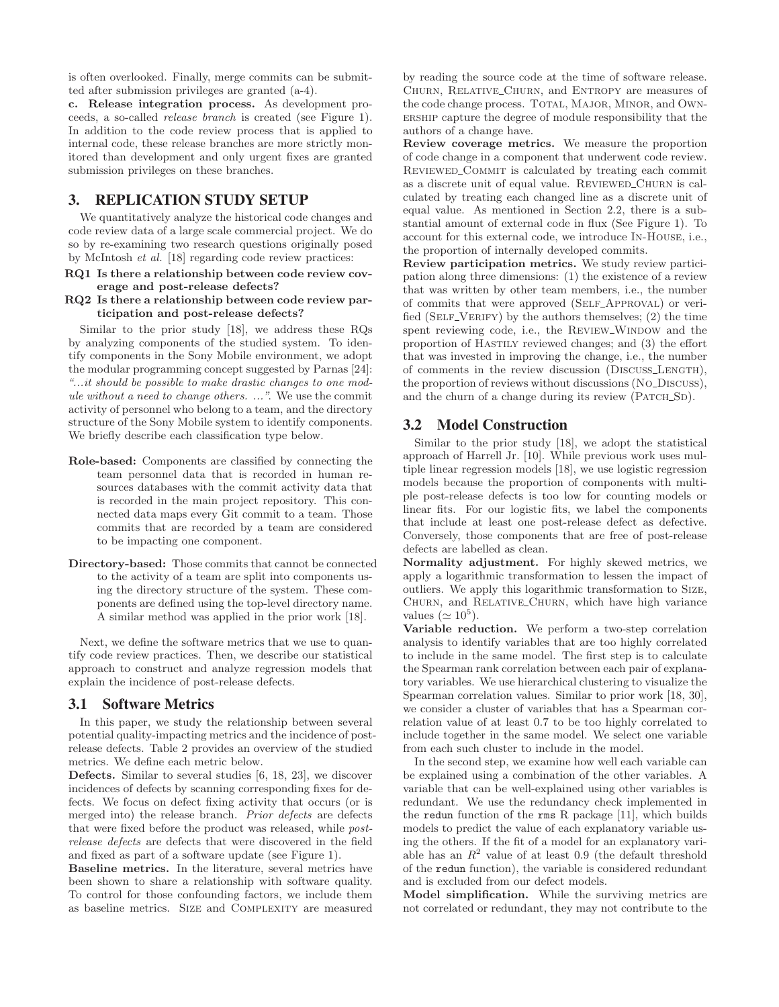is often overlooked. Finally, merge commits can be submitted after submission privileges are granted (a-4).

c. Release integration process. As development proceeds, a so-called release branch is created (see Figure 1). In addition to the code review process that is applied to internal code, these release branches are more strictly monitored than development and only urgent fixes are granted submission privileges on these branches.

#### 3. REPLICATION STUDY SETUP

We quantitatively analyze the historical code changes and code review data of a large scale commercial project. We do so by re-examining two research questions originally posed by McIntosh et al. [18] regarding code review practices:

- RQ1 Is there a relationship between code review coverage and post-release defects?
- RQ2 Is there a relationship between code review participation and post-release defects?

Similar to the prior study [18], we address these RQs by analyzing components of the studied system. To identify components in the Sony Mobile environment, we adopt the modular programming concept suggested by Parnas [24]: "...it should be possible to make drastic changes to one module without a need to change others. ...". We use the commit activity of personnel who belong to a team, and the directory structure of the Sony Mobile system to identify components. We briefly describe each classification type below.

- Role-based: Components are classified by connecting the team personnel data that is recorded in human resources databases with the commit activity data that is recorded in the main project repository. This connected data maps every Git commit to a team. Those commits that are recorded by a team are considered to be impacting one component.
- Directory-based: Those commits that cannot be connected to the activity of a team are split into components using the directory structure of the system. These components are defined using the top-level directory name. A similar method was applied in the prior work [18].

Next, we define the software metrics that we use to quantify code review practices. Then, we describe our statistical approach to construct and analyze regression models that explain the incidence of post-release defects.

#### 3.1 Software Metrics

In this paper, we study the relationship between several potential quality-impacting metrics and the incidence of postrelease defects. Table 2 provides an overview of the studied metrics. We define each metric below.

Defects. Similar to several studies [6, 18, 23], we discover incidences of defects by scanning corresponding fixes for defects. We focus on defect fixing activity that occurs (or is merged into) the release branch. Prior defects are defects that were fixed before the product was released, while postrelease defects are defects that were discovered in the field and fixed as part of a software update (see Figure 1).

Baseline metrics. In the literature, several metrics have been shown to share a relationship with software quality. To control for those confounding factors, we include them as baseline metrics. Size and Complexity are measured

by reading the source code at the time of software release. Churn, Relative Churn, and Entropy are measures of the code change process. TOTAL, MAJOR, MINOR, and OWNership capture the degree of module responsibility that the authors of a change have.

Review coverage metrics. We measure the proportion of code change in a component that underwent code review. REVIEWED\_COMMIT is calculated by treating each commit as a discrete unit of equal value. REVIEWED\_CHURN is calculated by treating each changed line as a discrete unit of equal value. As mentioned in Section 2.2, there is a substantial amount of external code in flux (See Figure 1). To account for this external code, we introduce In-House, i.e., the proportion of internally developed commits.

Review participation metrics. We study review participation along three dimensions: (1) the existence of a review that was written by other team members, i.e., the number of commits that were approved (Self Approval) or verified ( $SELF_VERIFY$ ) by the authors themselves; (2) the time spent reviewing code, i.e., the REVIEW\_WINDOW and the proportion of HASTILY reviewed changes; and (3) the effort that was invested in improving the change, i.e., the number of comments in the review discussion (DISCUSS\_LENGTH), the proportion of reviews without discussions (No<sub>-DISCUSS</sub>), and the churn of a change during its review (PATCH\_SD).

#### 3.2 Model Construction

Similar to the prior study [18], we adopt the statistical approach of Harrell Jr. [10]. While previous work uses multiple linear regression models [18], we use logistic regression models because the proportion of components with multiple post-release defects is too low for counting models or linear fits. For our logistic fits, we label the components that include at least one post-release defect as defective. Conversely, those components that are free of post-release defects are labelled as clean.

Normality adjustment. For highly skewed metrics, we apply a logarithmic transformation to lessen the impact of outliers. We apply this logarithmic transformation to Size, Churn, and Relative Churn, which have high variance values ( $\simeq 10^5$ ).

Variable reduction. We perform a two-step correlation analysis to identify variables that are too highly correlated to include in the same model. The first step is to calculate the Spearman rank correlation between each pair of explanatory variables. We use hierarchical clustering to visualize the Spearman correlation values. Similar to prior work [18, 30], we consider a cluster of variables that has a Spearman correlation value of at least 0.7 to be too highly correlated to include together in the same model. We select one variable from each such cluster to include in the model.

In the second step, we examine how well each variable can be explained using a combination of the other variables. A variable that can be well-explained using other variables is redundant. We use the redundancy check implemented in the redun function of the rms R package [11], which builds models to predict the value of each explanatory variable using the others. If the fit of a model for an explanatory variable has an  $R^2$  value of at least 0.9 (the default threshold of the redun function), the variable is considered redundant and is excluded from our defect models.

Model simplification. While the surviving metrics are not correlated or redundant, they may not contribute to the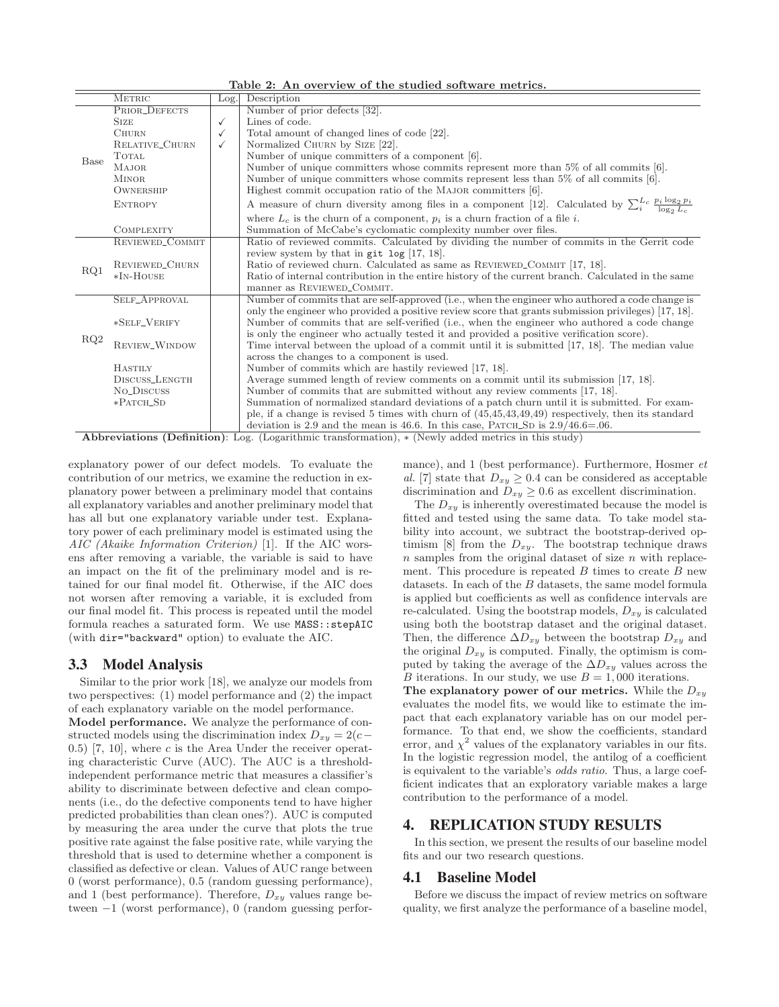Table 2: An overview of the studied software metrics.

|                                                                                                                | <b>METRIC</b>        | Log.         | Description                                                                                                                    |  |
|----------------------------------------------------------------------------------------------------------------|----------------------|--------------|--------------------------------------------------------------------------------------------------------------------------------|--|
|                                                                                                                | PRIOR_DEFECTS        |              | Number of prior defects [32].                                                                                                  |  |
|                                                                                                                | <b>SIZE</b>          | $\checkmark$ | Lines of code.                                                                                                                 |  |
|                                                                                                                | <b>CHURN</b>         | $\checkmark$ | Total amount of changed lines of code [22].                                                                                    |  |
|                                                                                                                | RELATIVE_CHURN       | $\checkmark$ | Normalized CHURN by SIZE [22].                                                                                                 |  |
| Base                                                                                                           | <b>TOTAL</b>         |              | Number of unique committers of a component $[6]$ .                                                                             |  |
|                                                                                                                | MAJOR                |              | Number of unique committers whose commits represent more than $5\%$ of all commits [6].                                        |  |
|                                                                                                                | <b>MINOR</b>         |              | Number of unique committers whose commits represent less than $5\%$ of all commits [6].                                        |  |
|                                                                                                                | <b>OWNERSHIP</b>     |              | Highest commit occupation ratio of the MAJOR committers [6].                                                                   |  |
|                                                                                                                | <b>ENTROPY</b>       |              | A measure of churn diversity among files in a component [12]. Calculated by $\sum_{i}^{L_c} \frac{p_i \log_2 p_i}{\log_2 L_c}$ |  |
|                                                                                                                |                      |              | where $L_c$ is the churn of a component, $p_i$ is a churn fraction of a file <i>i</i> .                                        |  |
|                                                                                                                | <b>COMPLEXITY</b>    |              | Summation of McCabe's cyclomatic complexity number over files.                                                                 |  |
|                                                                                                                | REVIEWED_COMMIT      |              | Ratio of reviewed commits. Calculated by dividing the number of commits in the Gerrit code                                     |  |
|                                                                                                                |                      |              | review system by that in $\text{git } \log[17, 18].$                                                                           |  |
| RQ1                                                                                                            | REVIEWED_CHURN       |              | Ratio of reviewed churn. Calculated as same as REVIEWED_COMMIT [17, 18].                                                       |  |
|                                                                                                                | $*$ IN-HOUSE         |              | Ratio of internal contribution in the entire history of the current branch. Calculated in the same                             |  |
|                                                                                                                |                      |              | manner as REVIEWED COMMIT.                                                                                                     |  |
|                                                                                                                | <b>SELF_APPROVAL</b> |              | Number of commits that are self-approved (i.e., when the engineer who authored a code change is                                |  |
|                                                                                                                |                      |              | only the engineer who provided a positive review score that grants submission privileges) [17, 18].                            |  |
|                                                                                                                | $*$ SELF_VERIFY      |              | Number of commits that are self-verified (i.e., when the engineer who authored a code change                                   |  |
| RQ2                                                                                                            |                      |              | is only the engineer who actually tested it and provided a positive verification score).                                       |  |
|                                                                                                                | REVIEW_WINDOW        |              | Time interval between the upload of a commit until it is submitted [17, 18]. The median value                                  |  |
|                                                                                                                |                      |              | across the changes to a component is used.                                                                                     |  |
|                                                                                                                | <b>HASTILY</b>       |              | Number of commits which are hastily reviewed [17, 18].                                                                         |  |
|                                                                                                                | DISCUSS_LENGTH       |              | Average summed length of review comments on a commit until its submission [17, 18].                                            |  |
|                                                                                                                | No_DISCUSS           |              | Number of commits that are submitted without any review comments [17, 18].                                                     |  |
|                                                                                                                | $*PATCH\_SD$         |              | Summation of normalized standard deviations of a patch churn until it is submitted. For exam-                                  |  |
|                                                                                                                |                      |              | ple, if a change is revised 5 times with churn of $(45,45,43,49,49)$ respectively, then its standard                           |  |
|                                                                                                                |                      |              | deviation is 2.9 and the mean is 46.6. In this case, PATCH_SD is $2.9/46.6 = .06$ .                                            |  |
| <b>Abbreviations (Definition)</b> : Log. (Logarithmic transformation), $*$ (Newly added metrics in this study) |                      |              |                                                                                                                                |  |

explanatory power of our defect models. To evaluate the contribution of our metrics, we examine the reduction in explanatory power between a preliminary model that contains all explanatory variables and another preliminary model that has all but one explanatory variable under test. Explanatory power of each preliminary model is estimated using the AIC (Akaike Information Criterion) [1]. If the AIC worsens after removing a variable, the variable is said to have an impact on the fit of the preliminary model and is retained for our final model fit. Otherwise, if the AIC does not worsen after removing a variable, it is excluded from our final model fit. This process is repeated until the model formula reaches a saturated form. We use MASS::stepAIC (with dir="backward" option) to evaluate the AIC.

#### 3.3 Model Analysis

Similar to the prior work [18], we analyze our models from two perspectives: (1) model performance and (2) the impact of each explanatory variable on the model performance.

Model performance. We analyze the performance of constructed models using the discrimination index  $D_{xy} = 2(c-$ 0.5) [7, 10], where  $c$  is the Area Under the receiver operating characteristic Curve (AUC). The AUC is a thresholdindependent performance metric that measures a classifier's ability to discriminate between defective and clean components (i.e., do the defective components tend to have higher predicted probabilities than clean ones?). AUC is computed by measuring the area under the curve that plots the true positive rate against the false positive rate, while varying the threshold that is used to determine whether a component is classified as defective or clean. Values of AUC range between 0 (worst performance), 0.5 (random guessing performance), and 1 (best performance). Therefore,  $D_{xy}$  values range between −1 (worst performance), 0 (random guessing performance), and 1 (best performance). Furthermore, Hosmer et al. [7] state that  $D_{xy} \geq 0.4$  can be considered as acceptable discrimination and  $D_{xy} \geq 0.6$  as excellent discrimination.

The  $D_{xy}$  is inherently overestimated because the model is fitted and tested using the same data. To take model stability into account, we subtract the bootstrap-derived optimism  $[8]$  from the  $D_{xy}$ . The bootstrap technique draws  $n$  samples from the original dataset of size  $n$  with replacement. This procedure is repeated  $B$  times to create  $B$  new datasets. In each of the B datasets, the same model formula is applied but coefficients as well as confidence intervals are re-calculated. Using the bootstrap models,  $D_{xy}$  is calculated using both the bootstrap dataset and the original dataset. Then, the difference  $\Delta D_{xy}$  between the bootstrap  $D_{xy}$  and the original  $D_{xy}$  is computed. Finally, the optimism is computed by taking the average of the  $\Delta D_{xy}$  values across the B iterations. In our study, we use  $B = 1,000$  iterations. The explanatory power of our metrics. While the  $D_{xy}$ 

evaluates the model fits, we would like to estimate the impact that each explanatory variable has on our model performance. To that end, we show the coefficients, standard error, and  $\chi^2$  values of the explanatory variables in our fits. In the logistic regression model, the antilog of a coefficient is equivalent to the variable's odds ratio. Thus, a large coefficient indicates that an exploratory variable makes a large contribution to the performance of a model.

## 4. REPLICATION STUDY RESULTS

In this section, we present the results of our baseline model fits and our two research questions.

#### 4.1 Baseline Model

Before we discuss the impact of review metrics on software quality, we first analyze the performance of a baseline model,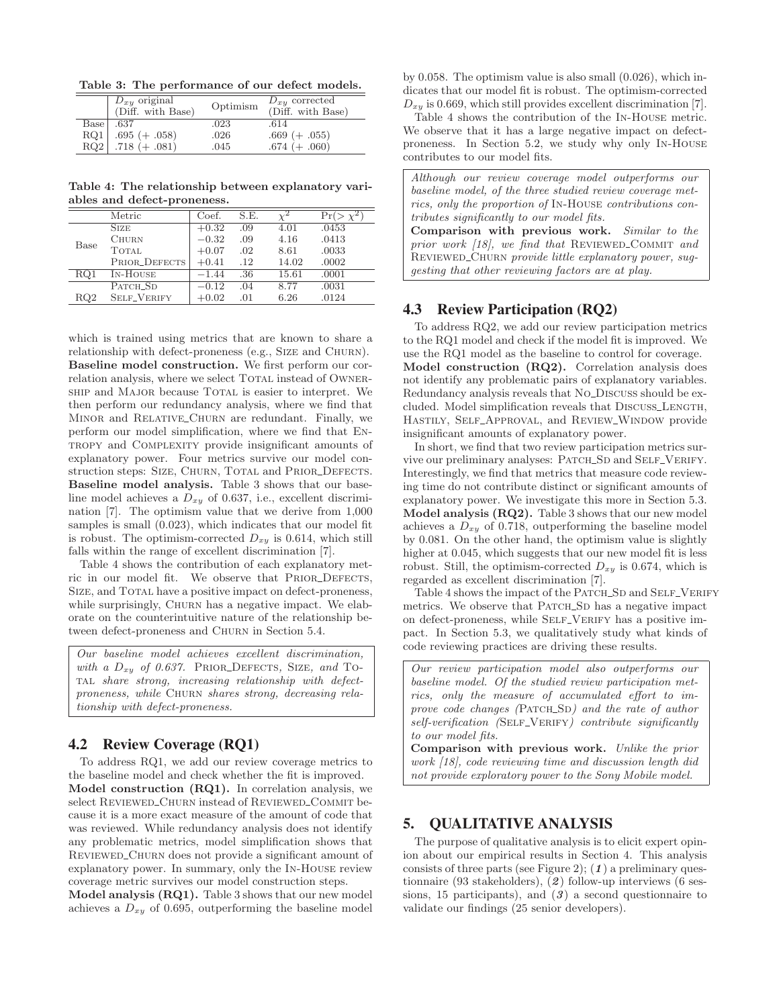Table 3: The performance of our defect models.

|     | $D_{xy}$ original<br>(Diff. with Base) | Optimism | $D_{xy}$ corrected<br>(Diff. with Base) |
|-----|----------------------------------------|----------|-----------------------------------------|
|     | <b>Base</b> .637                       | .023     | .614                                    |
| RQ1 | $.695 (+ .058)$                        | .026     | $.669 (+ .055)$                         |
| RO2 | $.718 (+ .081)$                        | .045     | $.674 (+ .060)$                         |

Table 4: The relationship between explanatory variables and defect-proneness.

|      | Metric             | Coef.      | S.E. |       |       |
|------|--------------------|------------|------|-------|-------|
| Base | <b>SIZE</b>        | $+0.32$    | .09  | 4.01  | .0453 |
|      | <b>CHURN</b>       | $-0.32$    | .09  | 4.16  | .0413 |
|      | <b>Т</b> отаі.     | $+0.07$    | .02  | 8.61  | .0033 |
|      | PRIOR_DEFECTS      | $+0.41$    | .12  | 14.02 | .0002 |
|      | IN-HOUSE           | $-1.44$    | .36  | 15.61 | .0001 |
|      | PATCH_SD           | $-0.12$    | .04  | 8.77  | .0031 |
| RO2  | <b>SELF_VERIFY</b> | $\pm 0.02$ | .01  | 6.26  | .0124 |

which is trained using metrics that are known to share a relationship with defect-proneness (e.g., SIZE and CHURN). Baseline model construction. We first perform our correlation analysis, where we select TOTAL instead of OWNERship and Major because Total is easier to interpret. We then perform our redundancy analysis, where we find that Minor and Relative Churn are redundant. Finally, we perform our model simplification, where we find that Entropy and Complexity provide insignificant amounts of explanatory power. Four metrics survive our model construction steps: SIZE, CHURN, TOTAL and PRIOR\_DEFECTS. Baseline model analysis. Table 3 shows that our baseline model achieves a  $D_{xy}$  of 0.637, i.e., excellent discrimination [7]. The optimism value that we derive from 1,000 samples is small (0.023), which indicates that our model fit is robust. The optimism-corrected  $D_{xy}$  is 0.614, which still falls within the range of excellent discrimination [7].

Table 4 shows the contribution of each explanatory metric in our model fit. We observe that PRIOR\_DEFECTS, SIZE, and TOTAL have a positive impact on defect-proneness, while surprisingly, CHURN has a negative impact. We elaborate on the counterintuitive nature of the relationship between defect-proneness and CHURN in Section 5.4.

Our baseline model achieves excellent discrimination, with a  $D_{xy}$  of 0.637. PRIOR\_DEFECTS, SIZE, and TOtal share strong, increasing relationship with defectproneness, while CHURN shares strong, decreasing relationship with defect-proneness.

## 4.2 Review Coverage (RQ1)

To address RQ1, we add our review coverage metrics to the baseline model and check whether the fit is improved. Model construction (RQ1). In correlation analysis, we select REVIEWED\_CHURN instead of REVIEWED\_COMMIT because it is a more exact measure of the amount of code that was reviewed. While redundancy analysis does not identify any problematic metrics, model simplification shows that REVIEWED\_CHURN does not provide a significant amount of explanatory power. In summary, only the In-House review coverage metric survives our model construction steps.

Model analysis (RQ1). Table 3 shows that our new model achieves a  $D_{xy}$  of 0.695, outperforming the baseline model by 0.058. The optimism value is also small (0.026), which indicates that our model fit is robust. The optimism-corrected  $D_{xy}$  is 0.669, which still provides excellent discrimination [7].

Table 4 shows the contribution of the In-House metric. We observe that it has a large negative impact on defectproneness. In Section 5.2, we study why only In-House contributes to our model fits.

| baseline model, of the three studied review coverage met- |
|-----------------------------------------------------------|
| rics, only the proportion of IN-HOUSE contributions con-  |
| <i>tributes significantly to our model fits.</i>          |
| Comparison with previous work. Similar to the             |
| prior work [18], we find that REVIEWED_COMMIT and         |
| REVIEWED_CHURN provide little explanatory power, sug-     |
| gesting that other reviewing factors are at play.         |

# 4.3 Review Participation (RQ2)

To address RQ2, we add our review participation metrics to the RQ1 model and check if the model fit is improved. We use the RQ1 model as the baseline to control for coverage. Model construction (RQ2). Correlation analysis does not identify any problematic pairs of explanatory variables. Redundancy analysis reveals that No<sub>-</sub>Discuss should be excluded. Model simplification reveals that Discuss Length, HASTILY, SELF\_APPROVAL, and REVIEW\_WINDOW provide insignificant amounts of explanatory power.

In short, we find that two review participation metrics survive our preliminary analyses: PATCH\_SD and SELF\_VERIFY. Interestingly, we find that metrics that measure code reviewing time do not contribute distinct or significant amounts of explanatory power. We investigate this more in Section 5.3. Model analysis (RQ2). Table 3 shows that our new model achieves a  $D_{xy}$  of 0.718, outperforming the baseline model by 0.081. On the other hand, the optimism value is slightly higher at 0.045, which suggests that our new model fit is less robust. Still, the optimism-corrected  $D_{xy}$  is 0.674, which is regarded as excellent discrimination [7].

Table 4 shows the impact of the PATCH\_SD and SELF\_VERIFY metrics. We observe that PATCH\_SD has a negative impact on defect-proneness, while SELF\_VERIFY has a positive impact. In Section 5.3, we qualitatively study what kinds of code reviewing practices are driving these results.

Our review participation model also outperforms our baseline model. Of the studied review participation metrics, only the measure of accumulated effort to improve code changes (PATCH\_SD) and the rate of author self-verification (SELF\_VERIFY) contribute significantly to our model fits.

Comparison with previous work. Unlike the prior work [18], code reviewing time and discussion length did not provide exploratory power to the Sony Mobile model.

#### 5. QUALITATIVE ANALYSIS

The purpose of qualitative analysis is to elicit expert opinion about our empirical results in Section 4. This analysis consists of three parts (see Figure 2);  $(1)$  a preliminary questionnaire (93 stakeholders), (2) follow-up interviews (6 sessions, 15 participants), and  $(3)$  a second questionnaire to validate our findings (25 senior developers).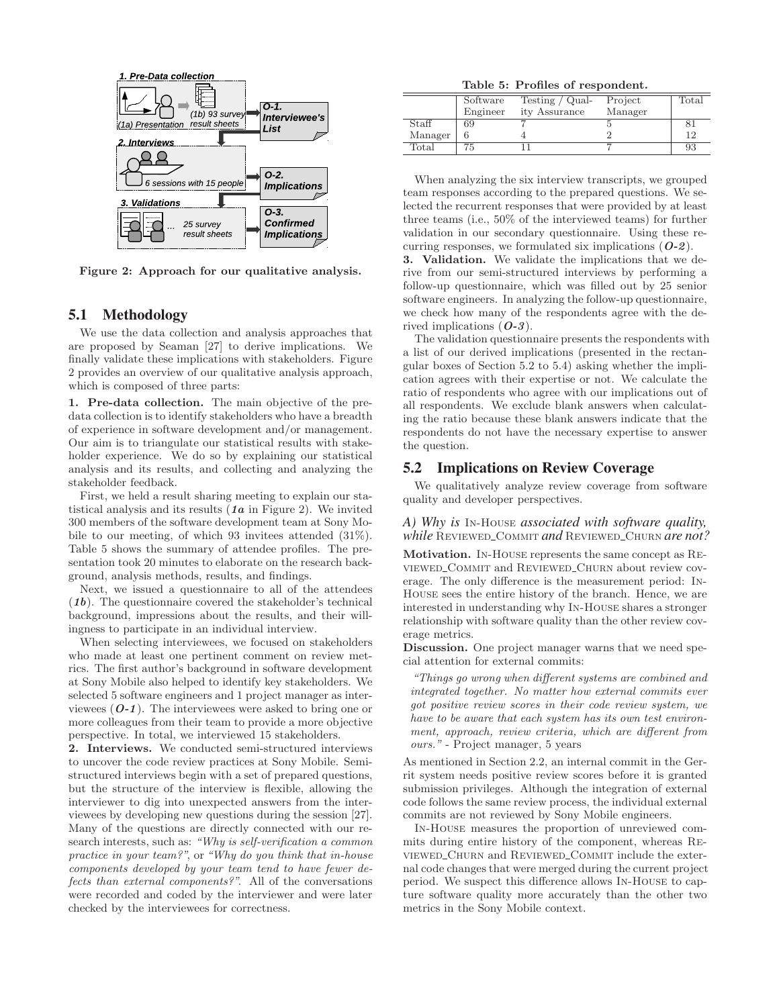

Figure 2: Approach for our qualitative analysis.

#### 5.1 Methodology

We use the data collection and analysis approaches that are proposed by Seaman [27] to derive implications. We finally validate these implications with stakeholders. Figure 2 provides an overview of our qualitative analysis approach, which is composed of three parts:

1. Pre-data collection. The main objective of the predata collection is to identify stakeholders who have a breadth of experience in software development and/or management. Our aim is to triangulate our statistical results with stakeholder experience. We do so by explaining our statistical analysis and its results, and collecting and analyzing the stakeholder feedback.

First, we held a result sharing meeting to explain our statistical analysis and its results  $(1a \text{ in Figure 2}).$  We invited 300 members of the software development team at Sony Mobile to our meeting, of which 93 invitees attended (31%). Table 5 shows the summary of attendee profiles. The presentation took 20 minutes to elaborate on the research background, analysis methods, results, and findings.

Next, we issued a questionnaire to all of the attendees  $(1b)$ . The questionnaire covered the stakeholder's technical background, impressions about the results, and their willingness to participate in an individual interview.

When selecting interviewees, we focused on stakeholders who made at least one pertinent comment on review metrics. The first author's background in software development at Sony Mobile also helped to identify key stakeholders. We selected 5 software engineers and 1 project manager as interviewees  $(O-1)$ . The interviewees were asked to bring one or more colleagues from their team to provide a more objective perspective. In total, we interviewed 15 stakeholders.

2. Interviews. We conducted semi-structured interviews to uncover the code review practices at Sony Mobile. Semistructured interviews begin with a set of prepared questions, but the structure of the interview is flexible, allowing the interviewer to dig into unexpected answers from the interviewees by developing new questions during the session [27]. Many of the questions are directly connected with our research interests, such as: "Why is self-verification a common practice in your team?", or "Why do you think that in-house components developed by your team tend to have fewer defects than external components?". All of the conversations were recorded and coded by the interviewer and were later checked by the interviewees for correctness.

Table 5: Profiles of respondent.

|         | Software<br>Engineer | Testing / Qual-<br>ity Assurance | Project<br>Manager | $_{\rm Total}$ |
|---------|----------------------|----------------------------------|--------------------|----------------|
| Staff   | 69                   |                                  |                    | 81             |
| Manager |                      |                                  |                    | 12             |
| Total   | 75                   |                                  |                    | 93             |

When analyzing the six interview transcripts, we grouped team responses according to the prepared questions. We selected the recurrent responses that were provided by at least three teams (i.e., 50% of the interviewed teams) for further validation in our secondary questionnaire. Using these recurring responses, we formulated six implications  $(O-2)$ .

3. Validation. We validate the implications that we derive from our semi-structured interviews by performing a follow-up questionnaire, which was filled out by 25 senior software engineers. In analyzing the follow-up questionnaire, we check how many of the respondents agree with the derived implications  $(O-3)$ .

The validation questionnaire presents the respondents with a list of our derived implications (presented in the rectangular boxes of Section 5.2 to 5.4) asking whether the implication agrees with their expertise or not. We calculate the ratio of respondents who agree with our implications out of all respondents. We exclude blank answers when calculating the ratio because these blank answers indicate that the respondents do not have the necessary expertise to answer the question.

#### 5.2 Implications on Review Coverage

We qualitatively analyze review coverage from software quality and developer perspectives.

#### *A) Why is* In-House *associated with software quality, while* REVIEWED\_COMMIT *and* REVIEWED\_CHURN *are not?*

Motivation. In-House represents the same concept as Reviewed Commit and Reviewed Churn about review coverage. The only difference is the measurement period: In-House sees the entire history of the branch. Hence, we are interested in understanding why In-House shares a stronger relationship with software quality than the other review coverage metrics.

Discussion. One project manager warns that we need special attention for external commits:

"Things go wrong when different systems are combined and integrated together. No matter how external commits ever got positive review scores in their code review system, we have to be aware that each system has its own test environment, approach, review criteria, which are different from ours." - Project manager, 5 years

As mentioned in Section 2.2, an internal commit in the Gerrit system needs positive review scores before it is granted submission privileges. Although the integration of external code follows the same review process, the individual external commits are not reviewed by Sony Mobile engineers.

In-House measures the proportion of unreviewed commits during entire history of the component, whereas Reviewed Churn and Reviewed Commit include the external code changes that were merged during the current project period. We suspect this difference allows In-House to capture software quality more accurately than the other two metrics in the Sony Mobile context.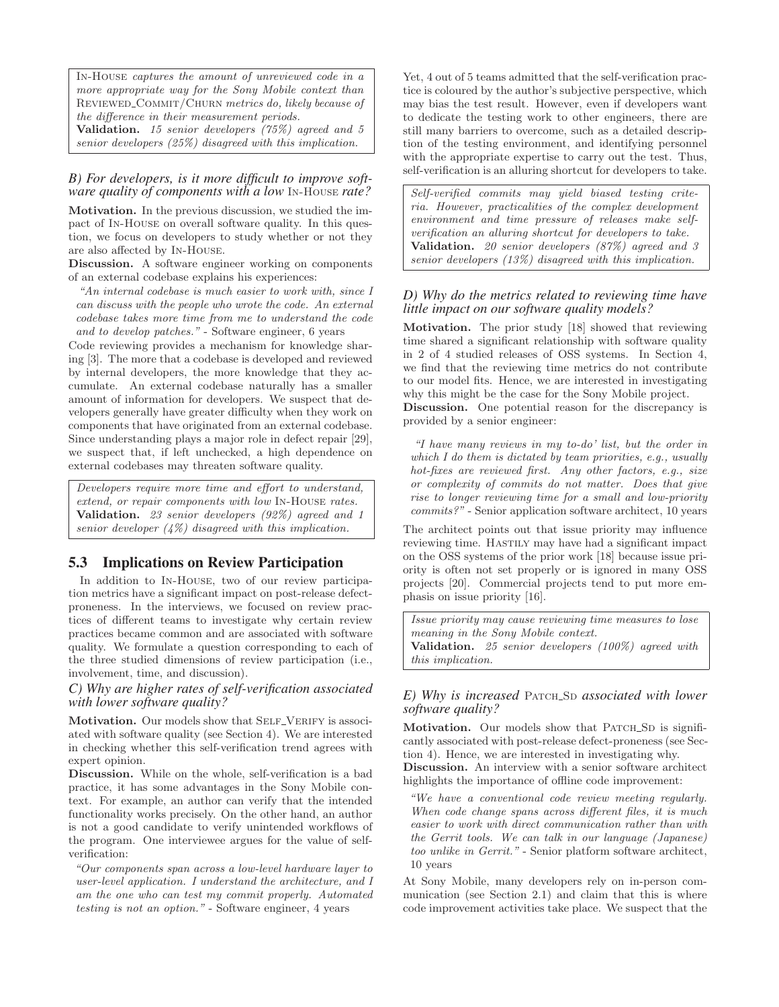In-House captures the amount of unreviewed code in a more appropriate way for the Sony Mobile context than REVIEWED\_COMMIT/CHURN metrics do, likely because of the difference in their measurement periods.

Validation. 15 senior developers (75%) agreed and 5 senior developers (25%) disagreed with this implication.

#### *B) For developers, is it more difficult to improve software quality of components with a low* In-House *rate?*

Motivation. In the previous discussion, we studied the impact of In-House on overall software quality. In this question, we focus on developers to study whether or not they are also affected by In-House.

Discussion. A software engineer working on components of an external codebase explains his experiences:

"An internal codebase is much easier to work with, since I can discuss with the people who wrote the code. An external codebase takes more time from me to understand the code and to develop patches." - Software engineer, 6 years

Code reviewing provides a mechanism for knowledge sharing [3]. The more that a codebase is developed and reviewed by internal developers, the more knowledge that they accumulate. An external codebase naturally has a smaller amount of information for developers. We suspect that developers generally have greater difficulty when they work on components that have originated from an external codebase. Since understanding plays a major role in defect repair [29], we suspect that, if left unchecked, a high dependence on external codebases may threaten software quality.

Developers require more time and effort to understand, extend, or repair components with low IN-HOUSE rates. Validation. 23 senior developers (92%) agreed and 1 senior developer  $(4\%)$  disagreed with this implication.

## 5.3 Implications on Review Participation

In addition to In-House, two of our review participation metrics have a significant impact on post-release defectproneness. In the interviews, we focused on review practices of different teams to investigate why certain review practices became common and are associated with software quality. We formulate a question corresponding to each of the three studied dimensions of review participation (i.e., involvement, time, and discussion).

#### *C) Why are higher rates of self-verification associated with lower software quality?*

Motivation. Our models show that SELF\_VERIFY is associated with software quality (see Section 4). We are interested in checking whether this self-verification trend agrees with expert opinion.

Discussion. While on the whole, self-verification is a bad practice, it has some advantages in the Sony Mobile context. For example, an author can verify that the intended functionality works precisely. On the other hand, an author is not a good candidate to verify unintended workflows of the program. One interviewee argues for the value of selfverification:

"Our components span across a low-level hardware layer to user-level application. I understand the architecture, and I am the one who can test my commit properly. Automated testing is not an option." - Software engineer, 4 years

Yet, 4 out of 5 teams admitted that the self-verification practice is coloured by the author's subjective perspective, which may bias the test result. However, even if developers want to dedicate the testing work to other engineers, there are still many barriers to overcome, such as a detailed description of the testing environment, and identifying personnel with the appropriate expertise to carry out the test. Thus, self-verification is an alluring shortcut for developers to take.

Self-verified commits may yield biased testing criteria. However, practicalities of the complex development environment and time pressure of releases make selfverification an alluring shortcut for developers to take. Validation. 20 senior developers (87%) agreed and 3 senior developers (13%) disagreed with this implication.

#### *D) Why do the metrics related to reviewing time have little impact on our software quality models?*

Motivation. The prior study [18] showed that reviewing time shared a significant relationship with software quality in 2 of 4 studied releases of OSS systems. In Section 4, we find that the reviewing time metrics do not contribute to our model fits. Hence, we are interested in investigating why this might be the case for the Sony Mobile project.

Discussion. One potential reason for the discrepancy is provided by a senior engineer:

"I have many reviews in my to-do' list, but the order in which I do them is dictated by team priorities, e.g., usually hot-fixes are reviewed first. Any other factors, e.g., size or complexity of commits do not matter. Does that give rise to longer reviewing time for a small and low-priority commits?" - Senior application software architect, 10 years

The architect points out that issue priority may influence reviewing time. HASTILY may have had a significant impact on the OSS systems of the prior work [18] because issue priority is often not set properly or is ignored in many OSS projects [20]. Commercial projects tend to put more emphasis on issue priority [16].

Issue priority may cause reviewing time measures to lose meaning in the Sony Mobile context. Validation. 25 senior developers (100%) agreed with this implication.

#### *E*) Why is increased PATCH\_SD associated with lower *software quality?*

Motivation. Our models show that PATCH\_SD is significantly associated with post-release defect-proneness (see Section 4). Hence, we are interested in investigating why.

Discussion. An interview with a senior software architect highlights the importance of offline code improvement:

"We have a conventional code review meeting regularly. When code change spans across different files, it is much easier to work with direct communication rather than with the Gerrit tools. We can talk in our language (Japanese) too unlike in Gerrit." - Senior platform software architect, 10 years

At Sony Mobile, many developers rely on in-person communication (see Section 2.1) and claim that this is where code improvement activities take place. We suspect that the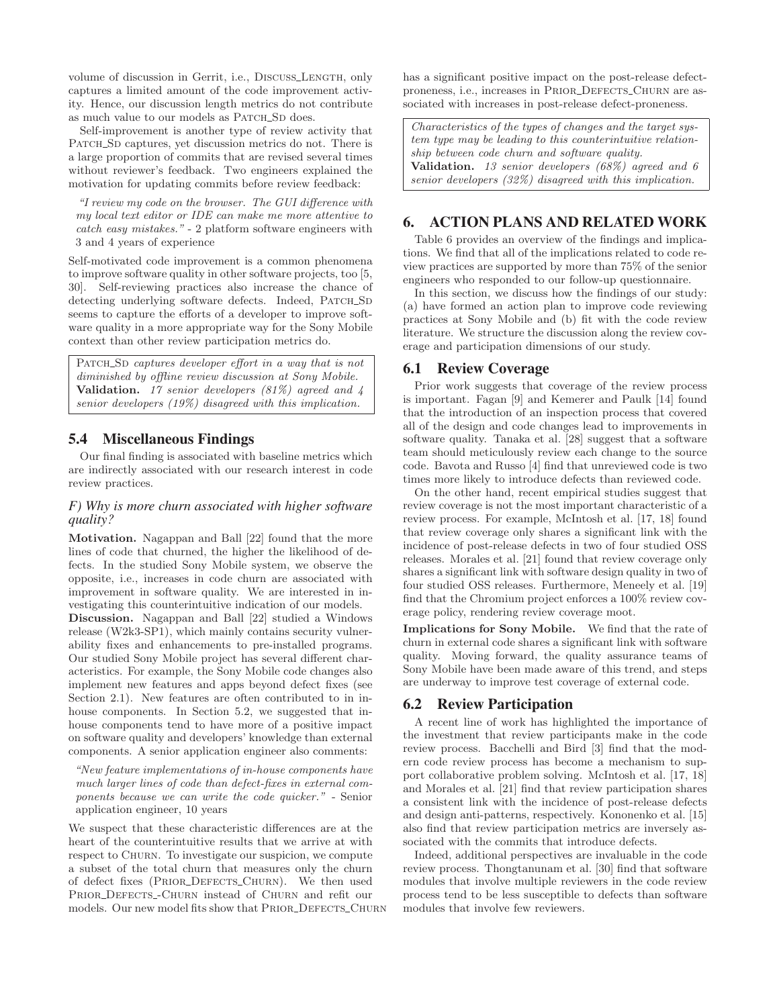volume of discussion in Gerrit, i.e., DISCUSS\_LENGTH, only captures a limited amount of the code improvement activity. Hence, our discussion length metrics do not contribute as much value to our models as PATCH\_SD does.

Self-improvement is another type of review activity that PATCH\_SD captures, yet discussion metrics do not. There is a large proportion of commits that are revised several times without reviewer's feedback. Two engineers explained the motivation for updating commits before review feedback:

"I review my code on the browser. The GUI difference with my local text editor or IDE can make me more attentive to catch easy mistakes." - 2 platform software engineers with 3 and 4 years of experience

Self-motivated code improvement is a common phenomena to improve software quality in other software projects, too [5, 30]. Self-reviewing practices also increase the chance of detecting underlying software defects. Indeed, PATCH\_SD seems to capture the efforts of a developer to improve software quality in a more appropriate way for the Sony Mobile context than other review participation metrics do.

PATCH\_SD captures developer effort in a way that is not diminished by offline review discussion at Sony Mobile. **Validation.** 17 senior developers  $(81\%)$  agreed and 4 senior developers (19%) disagreed with this implication.

#### 5.4 Miscellaneous Findings

Our final finding is associated with baseline metrics which are indirectly associated with our research interest in code review practices.

#### *F) Why is more churn associated with higher software quality?*

Motivation. Nagappan and Ball [22] found that the more lines of code that churned, the higher the likelihood of defects. In the studied Sony Mobile system, we observe the opposite, i.e., increases in code churn are associated with improvement in software quality. We are interested in investigating this counterintuitive indication of our models.

Discussion. Nagappan and Ball [22] studied a Windows release (W2k3-SP1), which mainly contains security vulnerability fixes and enhancements to pre-installed programs. Our studied Sony Mobile project has several different characteristics. For example, the Sony Mobile code changes also implement new features and apps beyond defect fixes (see Section 2.1). New features are often contributed to in inhouse components. In Section 5.2, we suggested that inhouse components tend to have more of a positive impact on software quality and developers' knowledge than external components. A senior application engineer also comments:

"New feature implementations of in-house components have much larger lines of code than defect-fixes in external components because we can write the code quicker." - Senior application engineer, 10 years

We suspect that these characteristic differences are at the heart of the counterintuitive results that we arrive at with respect to Churn. To investigate our suspicion, we compute a subset of the total churn that measures only the churn of defect fixes (PRIOR\_DEFECTS\_CHURN). We then used PRIOR\_DEFECTS\_-CHURN instead of CHURN and refit our models. Our new model fits show that PRIOR\_DEFECTS\_CHURN has a significant positive impact on the post-release defectproneness, i.e., increases in Prior Defects Churn are associated with increases in post-release defect-proneness.

Characteristics of the types of changes and the target system type may be leading to this counterintuitive relationship between code churn and software quality. Validation. 13 senior developers (68%) agreed and 6 senior developers (32%) disagreed with this implication.

#### 6. ACTION PLANS AND RELATED WORK

Table 6 provides an overview of the findings and implications. We find that all of the implications related to code review practices are supported by more than 75% of the senior engineers who responded to our follow-up questionnaire.

In this section, we discuss how the findings of our study: (a) have formed an action plan to improve code reviewing practices at Sony Mobile and (b) fit with the code review literature. We structure the discussion along the review coverage and participation dimensions of our study.

#### 6.1 Review Coverage

Prior work suggests that coverage of the review process is important. Fagan [9] and Kemerer and Paulk [14] found that the introduction of an inspection process that covered all of the design and code changes lead to improvements in software quality. Tanaka et al. [28] suggest that a software team should meticulously review each change to the source code. Bavota and Russo [4] find that unreviewed code is two times more likely to introduce defects than reviewed code.

On the other hand, recent empirical studies suggest that review coverage is not the most important characteristic of a review process. For example, McIntosh et al. [17, 18] found that review coverage only shares a significant link with the incidence of post-release defects in two of four studied OSS releases. Morales et al. [21] found that review coverage only shares a significant link with software design quality in two of four studied OSS releases. Furthermore, Meneely et al. [19] find that the Chromium project enforces a 100% review coverage policy, rendering review coverage moot.

Implications for Sony Mobile. We find that the rate of churn in external code shares a significant link with software quality. Moving forward, the quality assurance teams of Sony Mobile have been made aware of this trend, and steps are underway to improve test coverage of external code.

#### 6.2 Review Participation

A recent line of work has highlighted the importance of the investment that review participants make in the code review process. Bacchelli and Bird [3] find that the modern code review process has become a mechanism to support collaborative problem solving. McIntosh et al. [17, 18] and Morales et al. [21] find that review participation shares a consistent link with the incidence of post-release defects and design anti-patterns, respectively. Kononenko et al. [15] also find that review participation metrics are inversely associated with the commits that introduce defects.

Indeed, additional perspectives are invaluable in the code review process. Thongtanunam et al. [30] find that software modules that involve multiple reviewers in the code review process tend to be less susceptible to defects than software modules that involve few reviewers.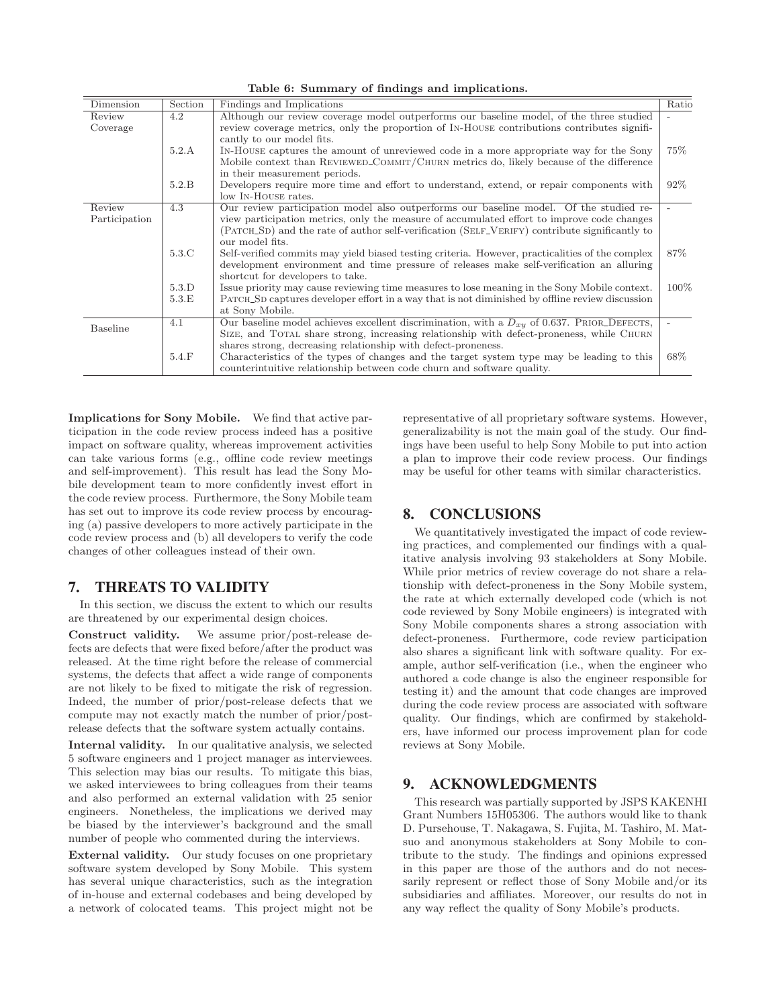| Dimension       | Section | Findings and Implications                                                                                                                                                                   | Ratio |
|-----------------|---------|---------------------------------------------------------------------------------------------------------------------------------------------------------------------------------------------|-------|
| Review          | 4.2     | Although our review coverage model outperforms our baseline model, of the three studied                                                                                                     |       |
| Coverage        |         | review coverage metrics, only the proportion of IN-HOUSE contributions contributes signifi-                                                                                                 |       |
|                 |         | cantly to our model fits.                                                                                                                                                                   |       |
|                 | 5.2.A   | IN-HOUSE captures the amount of unreviewed code in a more appropriate way for the Sony                                                                                                      | 75%   |
|                 |         | Mobile context than REVIEWED_COMMIT/CHURN metrics do, likely because of the difference                                                                                                      |       |
|                 |         | in their measurement periods.                                                                                                                                                               |       |
|                 | 5.2.B   | Developers require more time and effort to understand, extend, or repair components with                                                                                                    | 92%   |
|                 |         | low IN-HOUSE rates.                                                                                                                                                                         |       |
| Review          | 4.3     | Our review participation model also outperforms our baseline model. Of the studied re-                                                                                                      |       |
| Participation   |         | view participation metrics, only the measure of accumulated effort to improve code changes                                                                                                  |       |
|                 |         | (PATCH_SD) and the rate of author self-verification (SELF_VERIFY) contribute significantly to<br>our model fits.                                                                            |       |
|                 | 5.3.C   | Self-verified commits may yield biased testing criteria. However, practicalities of the complex<br>development environment and time pressure of releases make self-verification an alluring | 87\%  |
|                 |         | shortcut for developers to take.                                                                                                                                                            |       |
|                 | 5.3.D   | Issue priority may cause reviewing time measures to lose meaning in the Sony Mobile context.                                                                                                | 100%  |
|                 | 5.3.E   | PATCH_SD captures developer effort in a way that is not diminished by offline review discussion                                                                                             |       |
|                 |         | at Sony Mobile.                                                                                                                                                                             |       |
| <b>Baseline</b> | 4.1     | Our baseline model achieves excellent discrimination, with a $D_{xy}$ of 0.637. PRIOR DEFECTS,                                                                                              |       |
|                 |         | SIZE, and TOTAL share strong, increasing relationship with defect-proneness, while CHURN                                                                                                    |       |
|                 |         | shares strong, decreasing relationship with defect-proneness.                                                                                                                               |       |
|                 | 5.4.F   | Characteristics of the types of changes and the target system type may be leading to this<br>counterintuitive relationship between code churn and software quality.                         | 68%   |

Implications for Sony Mobile. We find that active participation in the code review process indeed has a positive impact on software quality, whereas improvement activities can take various forms (e.g., offline code review meetings and self-improvement). This result has lead the Sony Mobile development team to more confidently invest effort in the code review process. Furthermore, the Sony Mobile team has set out to improve its code review process by encouraging (a) passive developers to more actively participate in the code review process and (b) all developers to verify the code changes of other colleagues instead of their own.

# 7. THREATS TO VALIDITY

In this section, we discuss the extent to which our results are threatened by our experimental design choices.

Construct validity. We assume prior/post-release defects are defects that were fixed before/after the product was released. At the time right before the release of commercial systems, the defects that affect a wide range of components are not likely to be fixed to mitigate the risk of regression. Indeed, the number of prior/post-release defects that we compute may not exactly match the number of prior/postrelease defects that the software system actually contains.

Internal validity. In our qualitative analysis, we selected 5 software engineers and 1 project manager as interviewees. This selection may bias our results. To mitigate this bias, we asked interviewees to bring colleagues from their teams and also performed an external validation with 25 senior engineers. Nonetheless, the implications we derived may be biased by the interviewer's background and the small number of people who commented during the interviews.

External validity. Our study focuses on one proprietary software system developed by Sony Mobile. This system has several unique characteristics, such as the integration of in-house and external codebases and being developed by a network of colocated teams. This project might not be

representative of all proprietary software systems. However, generalizability is not the main goal of the study. Our findings have been useful to help Sony Mobile to put into action a plan to improve their code review process. Our findings may be useful for other teams with similar characteristics.

# 8. CONCLUSIONS

We quantitatively investigated the impact of code reviewing practices, and complemented our findings with a qualitative analysis involving 93 stakeholders at Sony Mobile. While prior metrics of review coverage do not share a relationship with defect-proneness in the Sony Mobile system, the rate at which externally developed code (which is not code reviewed by Sony Mobile engineers) is integrated with Sony Mobile components shares a strong association with defect-proneness. Furthermore, code review participation also shares a significant link with software quality. For example, author self-verification (i.e., when the engineer who authored a code change is also the engineer responsible for testing it) and the amount that code changes are improved during the code review process are associated with software quality. Our findings, which are confirmed by stakeholders, have informed our process improvement plan for code reviews at Sony Mobile.

#### 9. ACKNOWLEDGMENTS

This research was partially supported by JSPS KAKENHI Grant Numbers 15H05306. The authors would like to thank D. Pursehouse, T. Nakagawa, S. Fujita, M. Tashiro, M. Matsuo and anonymous stakeholders at Sony Mobile to contribute to the study. The findings and opinions expressed in this paper are those of the authors and do not necessarily represent or reflect those of Sony Mobile and/or its subsidiaries and affiliates. Moreover, our results do not in any way reflect the quality of Sony Mobile's products.